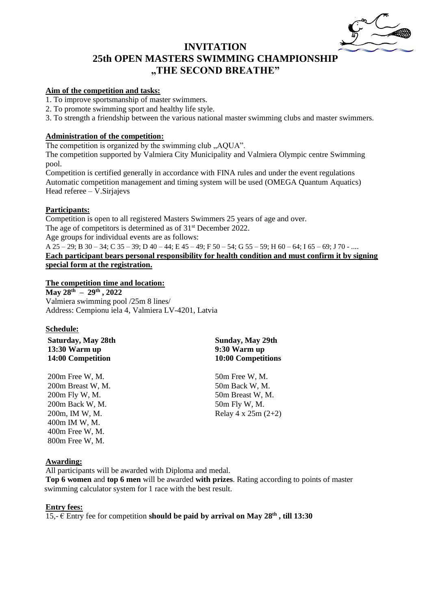

# **INVITATION 25th OPEN MASTERS SWIMMING CHAMPIONSHIP "THE SECOND BREATHE"**

### **Aim of the competition and tasks:**

1. To improve sportsmanship of master swimmers.

2. To promote swimming sport and healthy life style.

3. To strength a friendship between the various national master swimming clubs and master swimmers.

#### **Administration of the competition:**

The competition is organized by the swimming club "AQUA".

The competition supported by Valmiera City Municipality and Valmiera Olympic centre Swimming pool.

Competition is certified generally in accordance with FINA rules and under the event regulations Automatic competition management and timing system will be used (OMEGA Quantum Aquatics) Head referee – V.Sirjajevs

#### **Participants:**

Competition is open to all registered Masters Swimmers 25 years of age and over. The age of competitors is determined as of  $31<sup>st</sup>$  December 2022. Age groups for individual events are as follows:

A 25 – 29; B 30 – 34; C 35 – 39; D 40 – 44; E 45 – 49; F 50 – 54; G 55 – 59; H 60 – 64; I 65 – 69; J 70 - ....

**Each participant bears personal responsibility for health condition and must confirm it by signing special form at the registration.**

## **The competition time and location:**

**May 28th – 29th , 2022** Valmiera swimming pool /25m 8 lines/ Address: Cempionu iela 4, Valmiera LV-4201, Latvia

#### **Schedule:**

**Saturday, May 28th 13:30 Warm up 14:00 Competition**

200m Free W, M. 200m Breast W, M. 200m Fly W, M. 200m Back W, M. 200m, IM W, M. 400m IM W, M. 400m Free W, M. 800m Free W, M.

## **Sunday, May 29th 9:30 Warm up 10:00 Competitions**

50m Free W, M. 50m Back W, M. 50m Breast W, M. 50m Fly W, M. Relay 4 x 25m (2+2)

#### **Awarding:**

All participants will be awarded with Diploma and medal. **Top 6 women** and **top 6 men** will be awarded **with prizes**. Rating according to points of master swimming calculator system for 1 race with the best result.

#### **Entry fees:**

15,-  $\in$  Entry fee for competition should be paid by arrival on May 28<sup>th</sup>, till 13:30